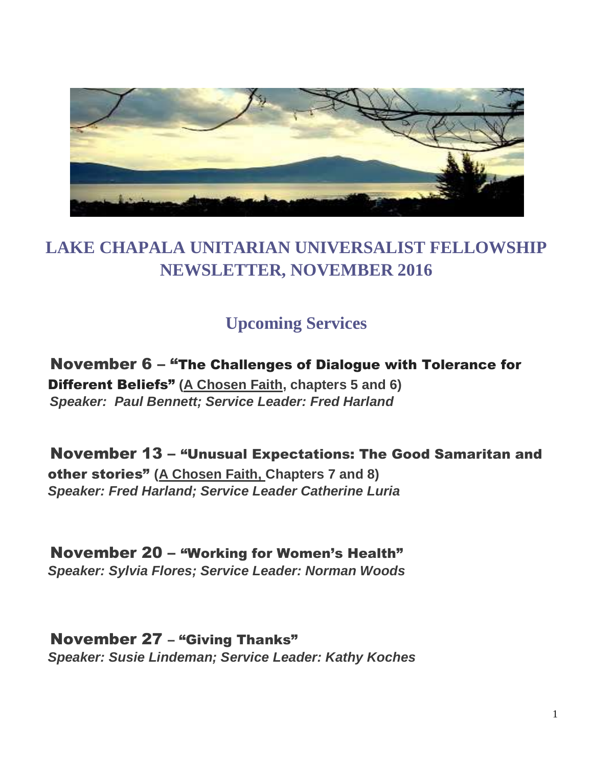

## **LAKE CHAPALA UNITARIAN UNIVERSALIST FELLOWSHIP NEWSLETTER, NOVEMBER 2016**

### **Upcoming Services**

 November 6 – "The Challenges of Dialogue with Tolerance for Different Beliefs" **(A Chosen Faith, chapters 5 and 6)**  *Speaker: Paul Bennett; Service Leader: Fred Harland*

 November 13 – "Unusual Expectations: The Good Samaritan and other stories" **(A Chosen Faith, Chapters 7 and 8)**  *Speaker: Fred Harland; Service Leader Catherine Luria*

 November 20 – "Working for Women's Health" *Speaker: Sylvia Flores; Service Leader: Norman Woods*

 November 27 – "Giving Thanks" *Speaker: Susie Lindeman; Service Leader: Kathy Koches*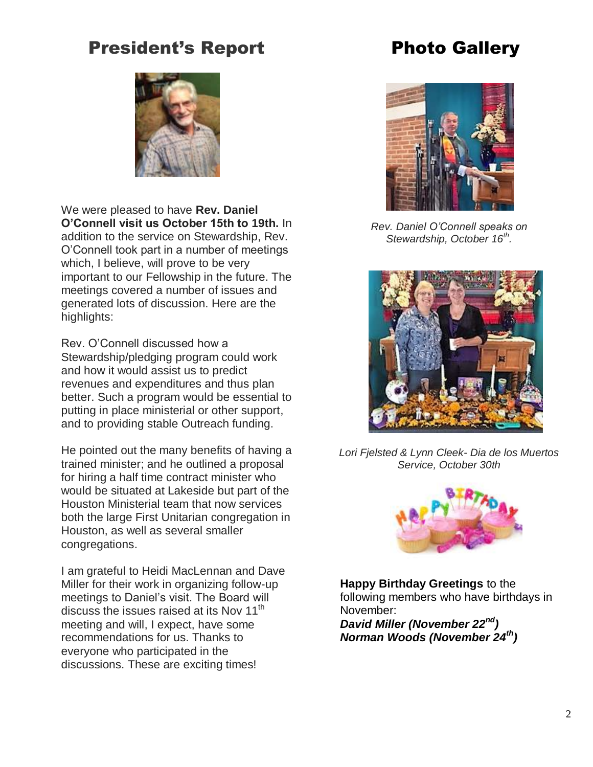## President's Report

# Photo Gallery



We were pleased to have **Rev. Daniel O'Connell visit us October 15th to 19th.** In addition to the service on Stewardship, Rev. O'Connell took part in a number of meetings which, I believe, will prove to be very important to our Fellowship in the future. The meetings covered a number of issues and generated lots of discussion. Here are the highlights:

Rev. O'Connell discussed how a Stewardship/pledging program could work and how it would assist us to predict revenues and expenditures and thus plan better. Such a program would be essential to putting in place ministerial or other support, and to providing stable Outreach funding.

He pointed out the many benefits of having a trained minister; and he outlined a proposal for hiring a half time contract minister who would be situated at Lakeside but part of the Houston Ministerial team that now services both the large First Unitarian congregation in Houston, as well as several smaller congregations.

I am grateful to Heidi MacLennan and Dave Miller for their work in organizing follow-up meetings to Daniel's visit. The Board will discuss the issues raised at its Nov  $11<sup>th</sup>$ meeting and will, I expect, have some recommendations for us. Thanks to everyone who participated in the discussions. These are exciting times!



*Rev. Daniel O'Connell speaks on Stewardship, October 16th .*



*Lori Fjelsted & Lynn Cleek- Dia de los Muertos Service, October 30th* 



**Happy Birthday Greetings** to the following members who have birthdays in November:

*David Miller (November 22nd) Norman Woods (November 24th)*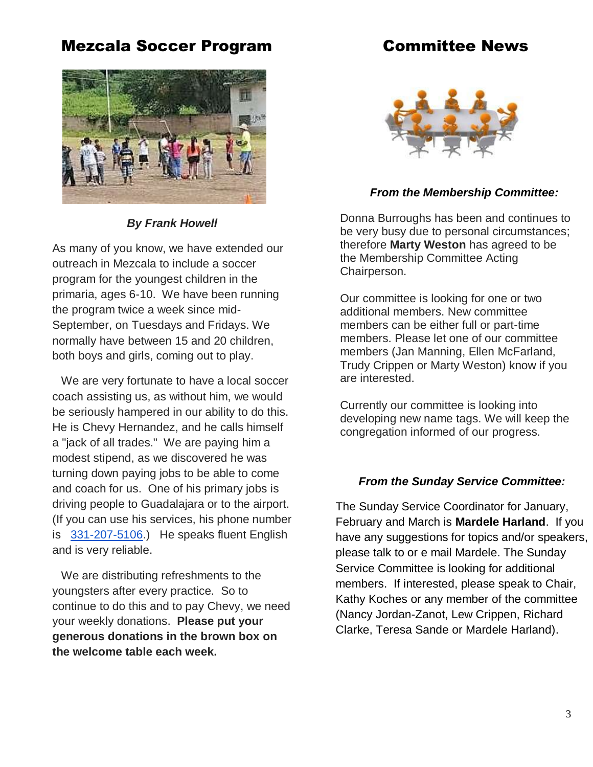### Mezcala Soccer Program

### Committee News



*By Frank Howell*

As many of you know, we have extended our outreach in Mezcala to include a soccer program for the youngest children in the primaria, ages 6-10. We have been running the program twice a week since mid-September, on Tuesdays and Fridays. We normally have between 15 and 20 children, both boys and girls, coming out to play.

We are very fortunate to have a local soccer coach assisting us, as without him, we would be seriously hampered in our ability to do this. He is Chevy Hernandez, and he calls himself a "jack of all trades." We are paying him a modest stipend, as we discovered he was turning down paying jobs to be able to come and coach for us. One of his primary jobs is driving people to Guadalajara or to the airport. (If you can use his services, his phone number is [331-207-5106.](tel:331-207-5106)) He speaks fluent English and is very reliable.

We are distributing refreshments to the youngsters after every practice. So to continue to do this and to pay Chevy, we need your weekly donations. **Please put your generous donations in the brown box on the welcome table each week.**



#### *From the Membership Committee:*

Donna Burroughs has been and continues to be very busy due to personal circumstances; therefore **Marty Weston** has agreed to be the Membership Committee Acting Chairperson.

Our committee is looking for one or two additional members. New committee members can be either full or part-time members. Please let one of our committee members (Jan Manning, Ellen McFarland, Trudy Crippen or Marty Weston) know if you are interested.

Currently our committee is looking into developing new name tags. We will keep the congregation informed of our progress.

#### *From the Sunday Service Committee:*

The Sunday Service Coordinator for January, February and March is **Mardele Harland**. If you have any suggestions for topics and/or speakers, please talk to or e mail Mardele. The Sunday Service Committee is looking for additional members. If interested, please speak to Chair, Kathy Koches or any member of the committee (Nancy Jordan-Zanot, Lew Crippen, Richard Clarke, Teresa Sande or Mardele Harland).